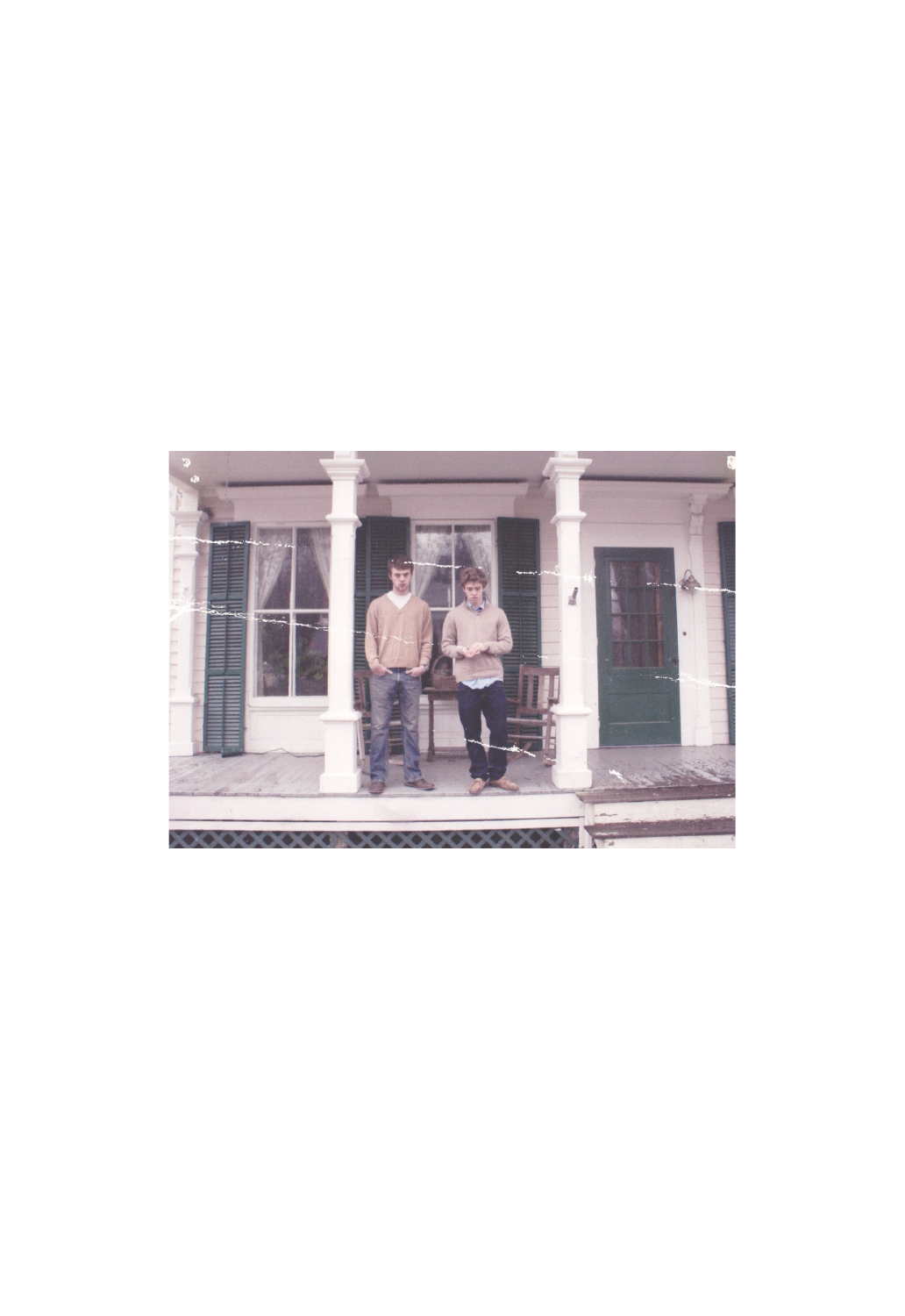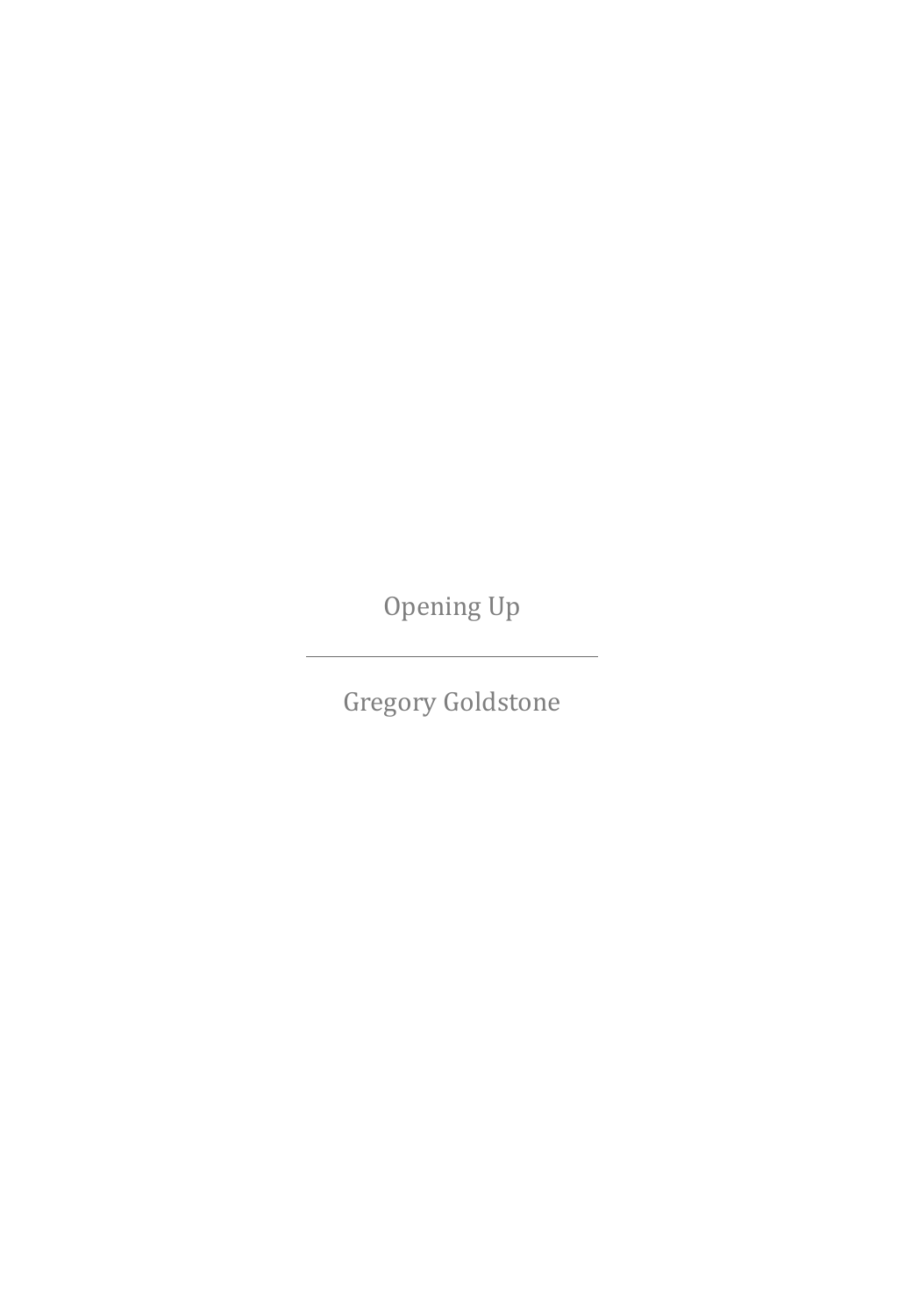Opening Up

Gregory Goldstone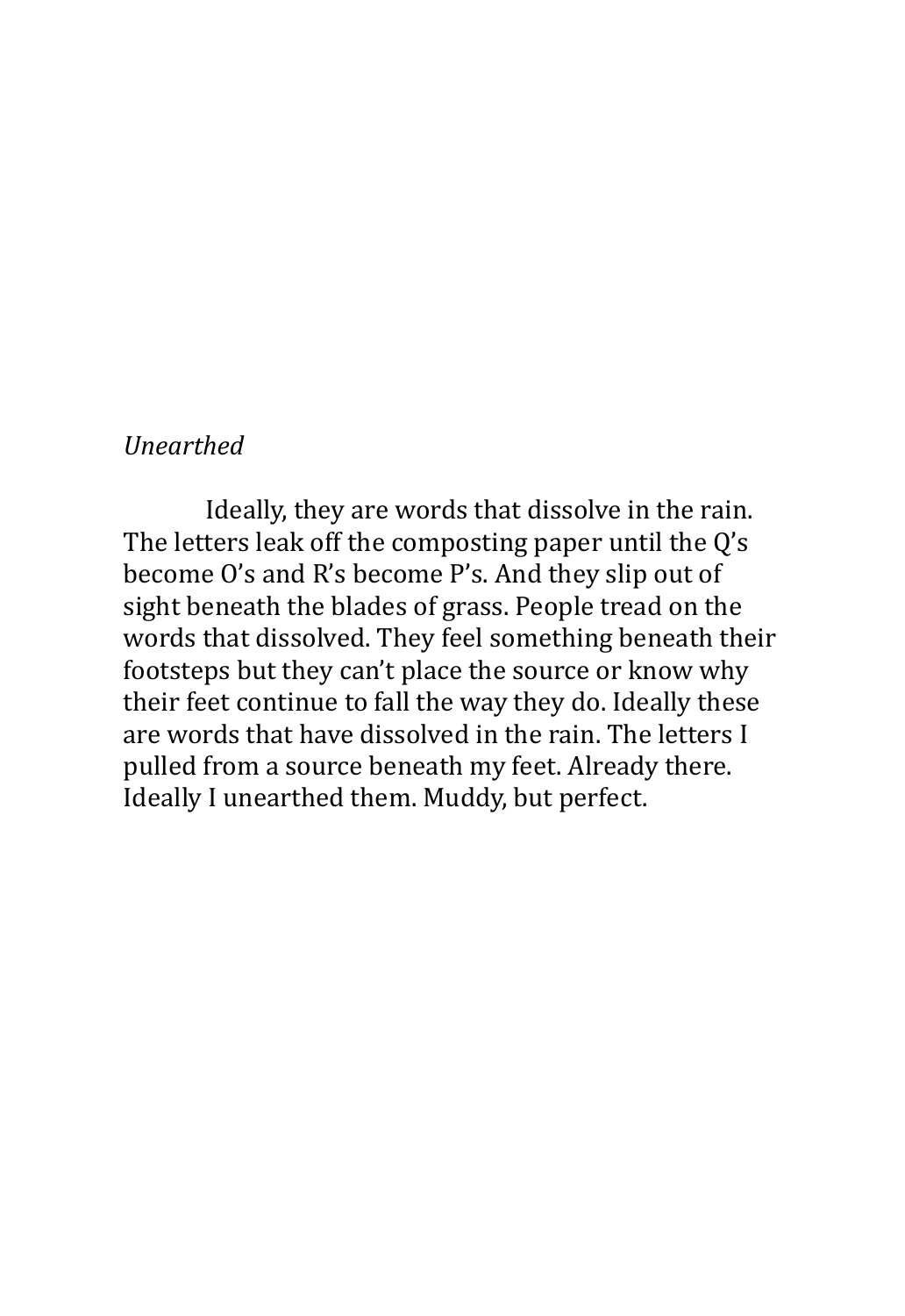## *Unearthed*

 Ideally, they are words that dissolve in the rain. The letters leak off the composting paper until the Q's become O's and R's become P's. And they slip out of sight beneath the blades of grass. People tread on the words that dissolved. They feel something beneath their footsteps but they can't place the source or know why their feet continue to fall the way they do. Ideally these are words that have dissolved in the rain. The letters I pulled from a source beneath my feet. Already there. Ideally I unearthed them. Muddy, but perfect.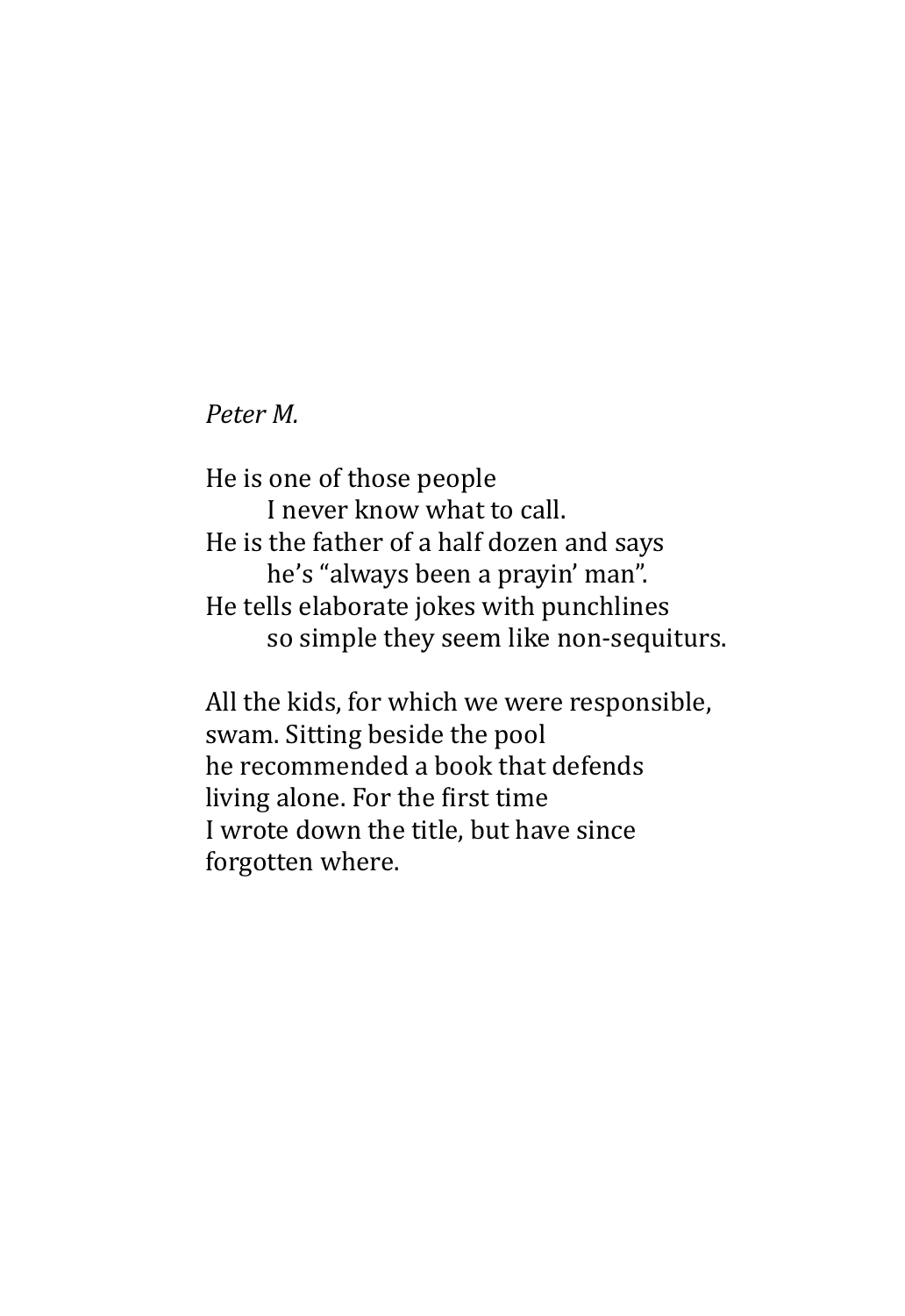*Peter M.* 

He is one of those people I never know what to call. He is the father of a half dozen and says he's "always been a prayin' man". He tells elaborate jokes with punchlines so simple they seem like non-sequiturs.

All the kids, for which we were responsible, swam. Sitting beside the pool he recommended a book that defends living alone. For the first time I wrote down the title, but have since forgotten where.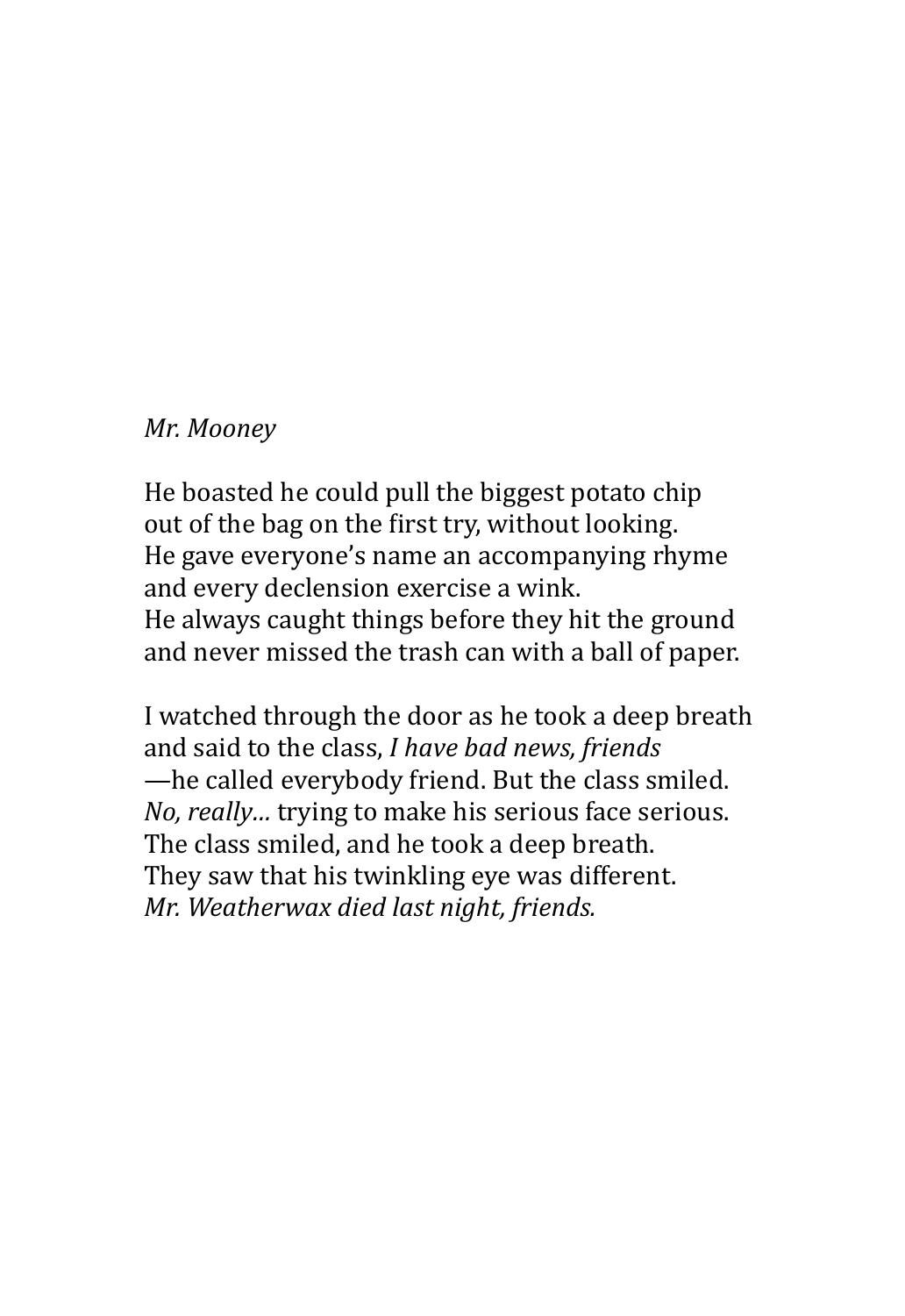# *Mr. Mooney*

He boasted he could pull the biggest potato chip out of the bag on the first try, without looking. He gave everyone's name an accompanying rhyme and every declension exercise a wink. He always caught things before they hit the ground and never missed the trash can with a ball of paper.

I watched through the door as he took a deep breath and said to the class, *I have bad news, friends*  —he called everybody friend. But the class smiled. *No, really…* trying to make his serious face serious. The class smiled, and he took a deep breath. They saw that his twinkling eye was different. *Mr. Weatherwax died last night, friends.*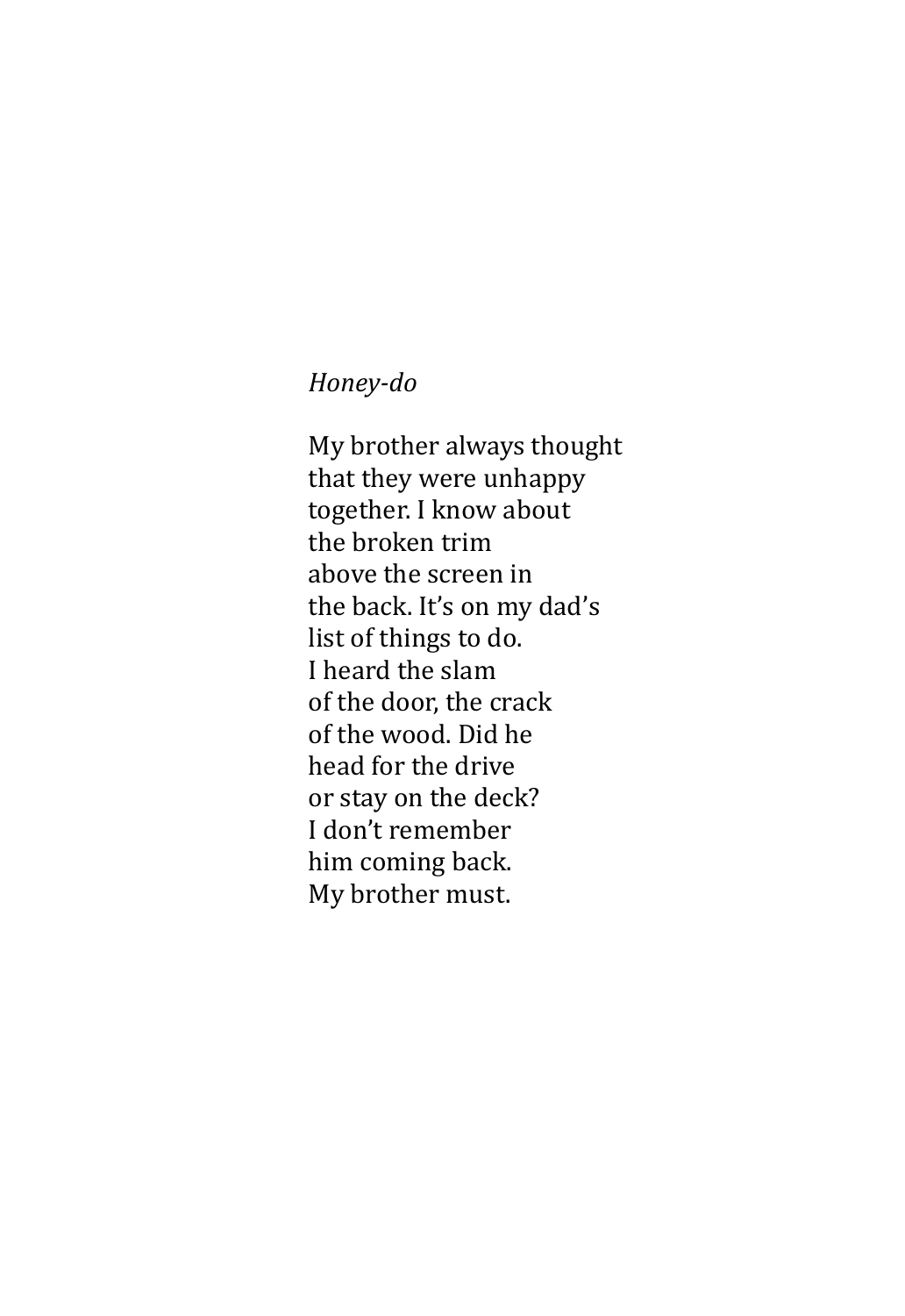# *Honey-do*

My brother always thought that they were unhappy together. I know about the broken trim above the screen in the back. It's on my dad's list of things to do. I heard the slam of the door, the crack of the wood. Did he head for the drive or stay on the deck? I don't remember him coming back. My brother must.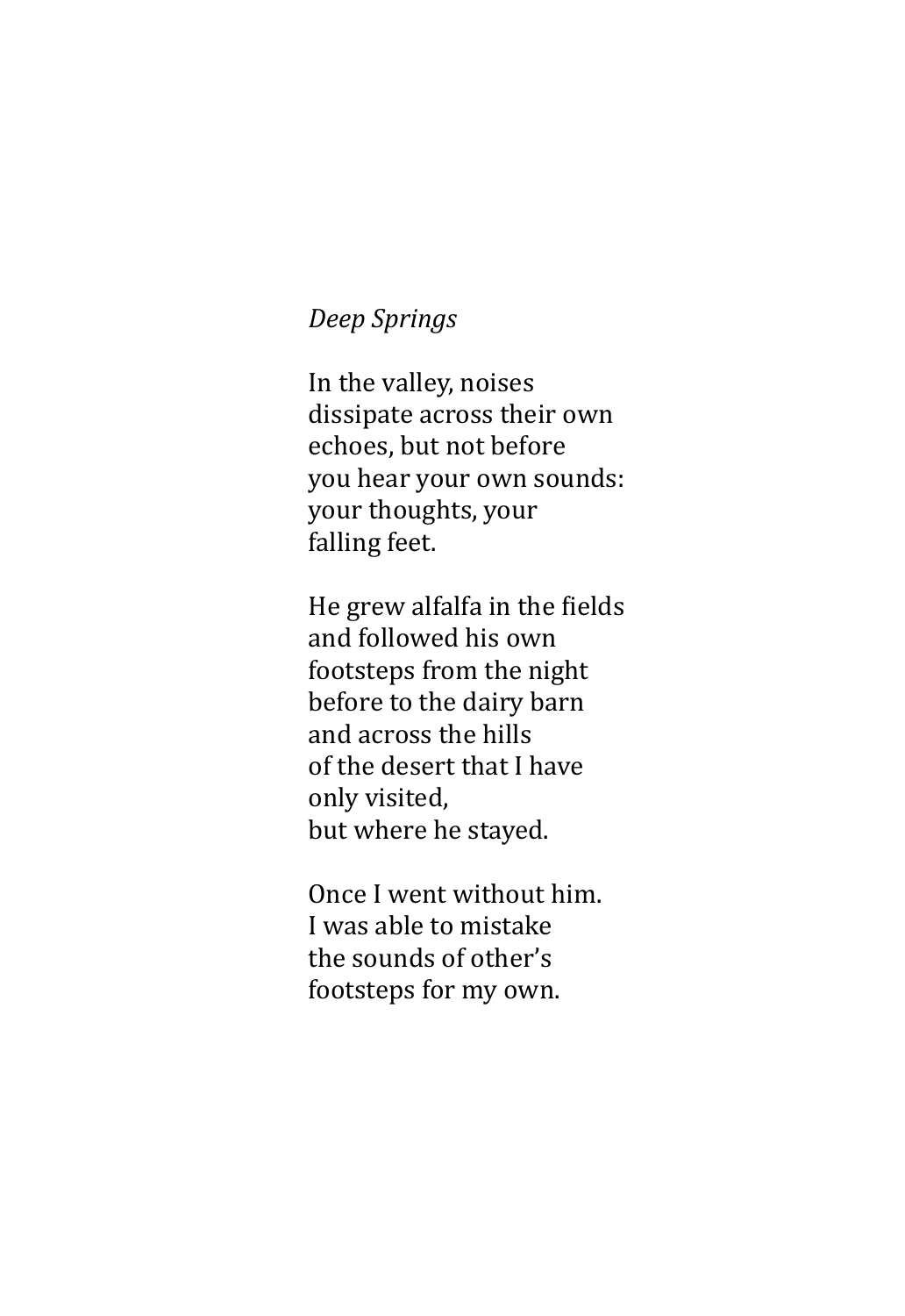## *Deep Springs*

In the valley, noises dissipate across their own echoes, but not before you hear your own sounds: your thoughts, your falling feet.

He grew alfalfa in the fields and followed his own footsteps from the night before to the dairy barn and across the hills of the desert that I have only visited, but where he stayed.

Once I went without him. I was able to mistake the sounds of other's footsteps for my own.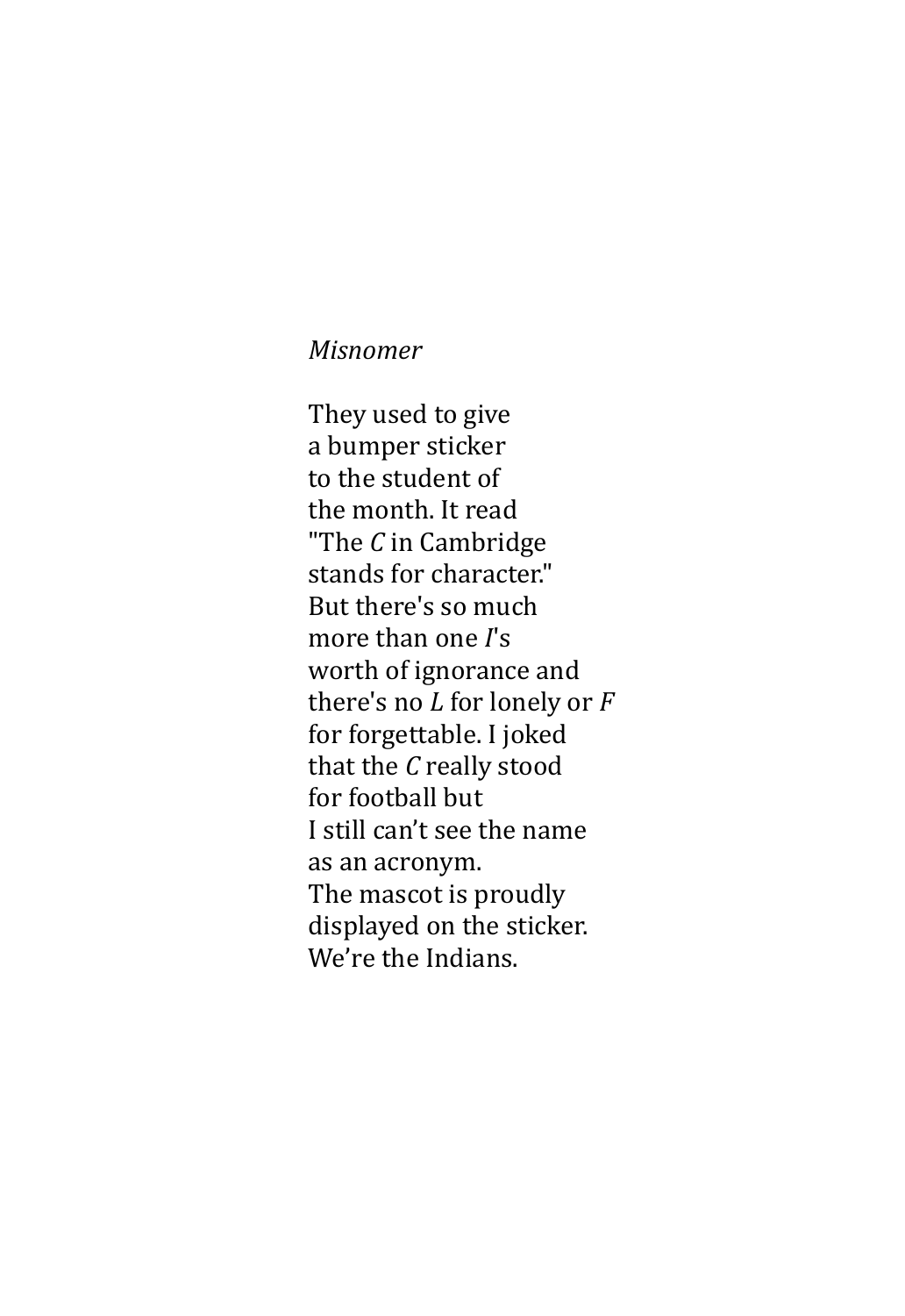#### *Misnomer*

They used to give a bumper sticker to the student of the month. It read "The *C* in Cambridge stands for character." But there's so much more than one *I*'s worth of ignorance and there's no *L* for lonely or *F* for forgettable. I joked that the *C* really stood for football but I still can't see the name as an acronym. The mascot is proudly displayed on the sticker. We're the Indians.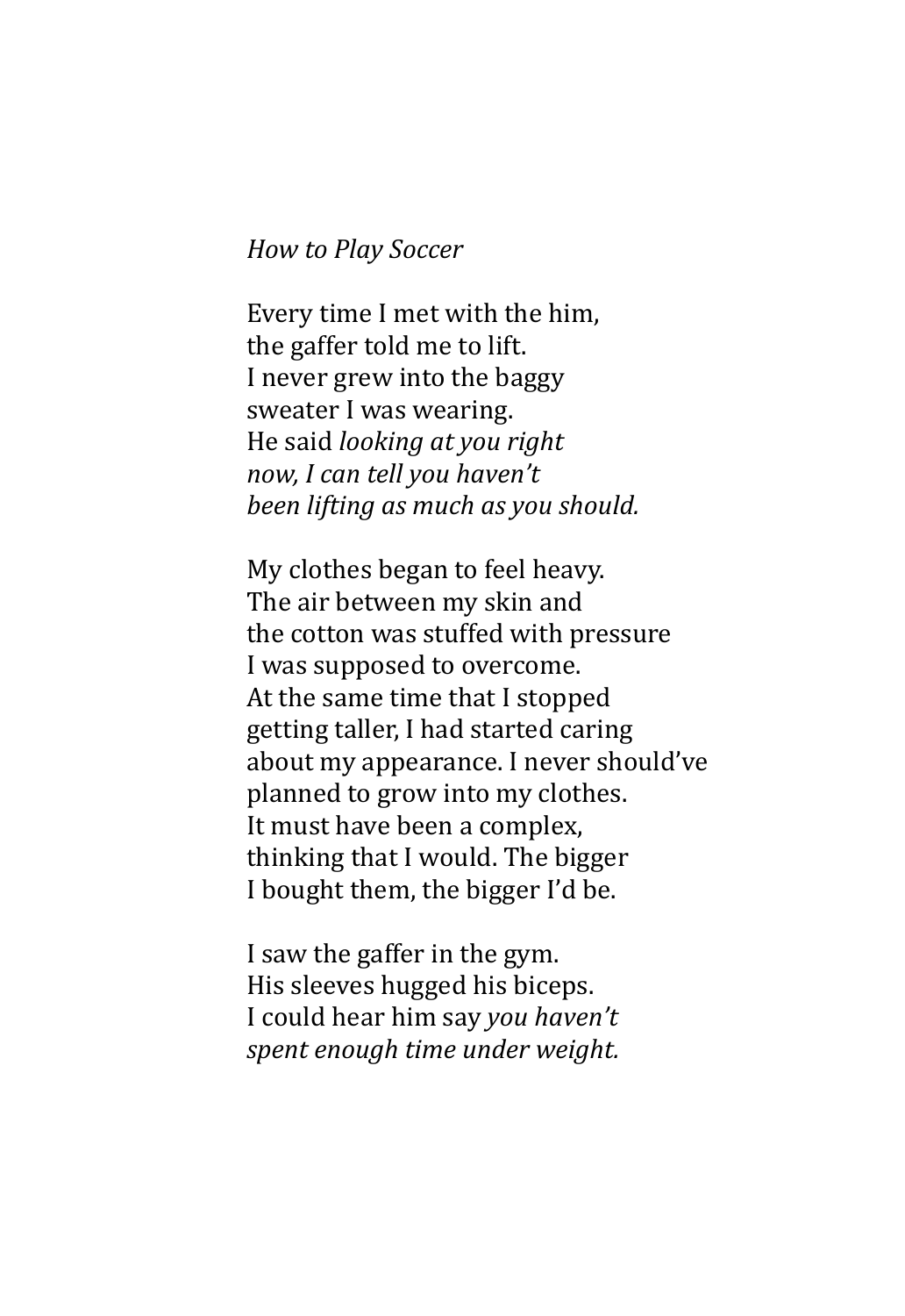### *How to Play Soccer*

Every time I met with the him, the gaffer told me to lift. I never grew into the baggy sweater I was wearing. He said *looking at you right now, I can tell you haven't been lifting as much as you should.* 

My clothes began to feel heavy. The air between my skin and the cotton was stuffed with pressure I was supposed to overcome. At the same time that I stopped getting taller, I had started caring about my appearance. I never should've planned to grow into my clothes. It must have been a complex, thinking that I would. The bigger I bought them, the bigger I'd be.

I saw the gaffer in the gym. His sleeves hugged his biceps. I could hear him say *you haven't spent enough time under weight.*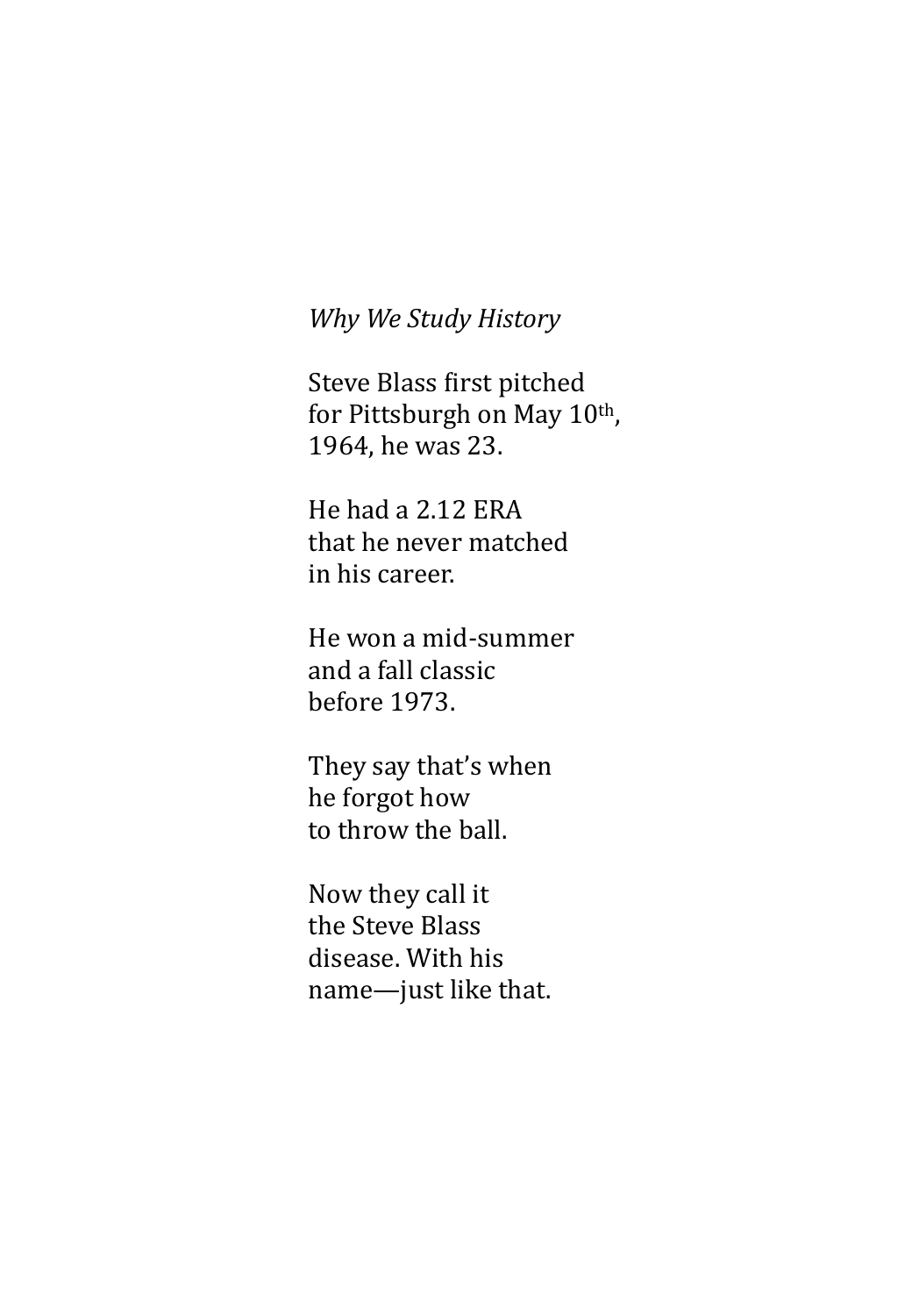### *Why We Study History*

Steve Blass first pitched for Pittsburgh on May 10th, 1964, he was 23.

He had a 2.12 ERA that he never matched in his career.

He won a mid-summer and a fall classic before 1973.

They say that's when he forgot how to throw the ball.

Now they call it the Steve Blass disease. With his name—just like that.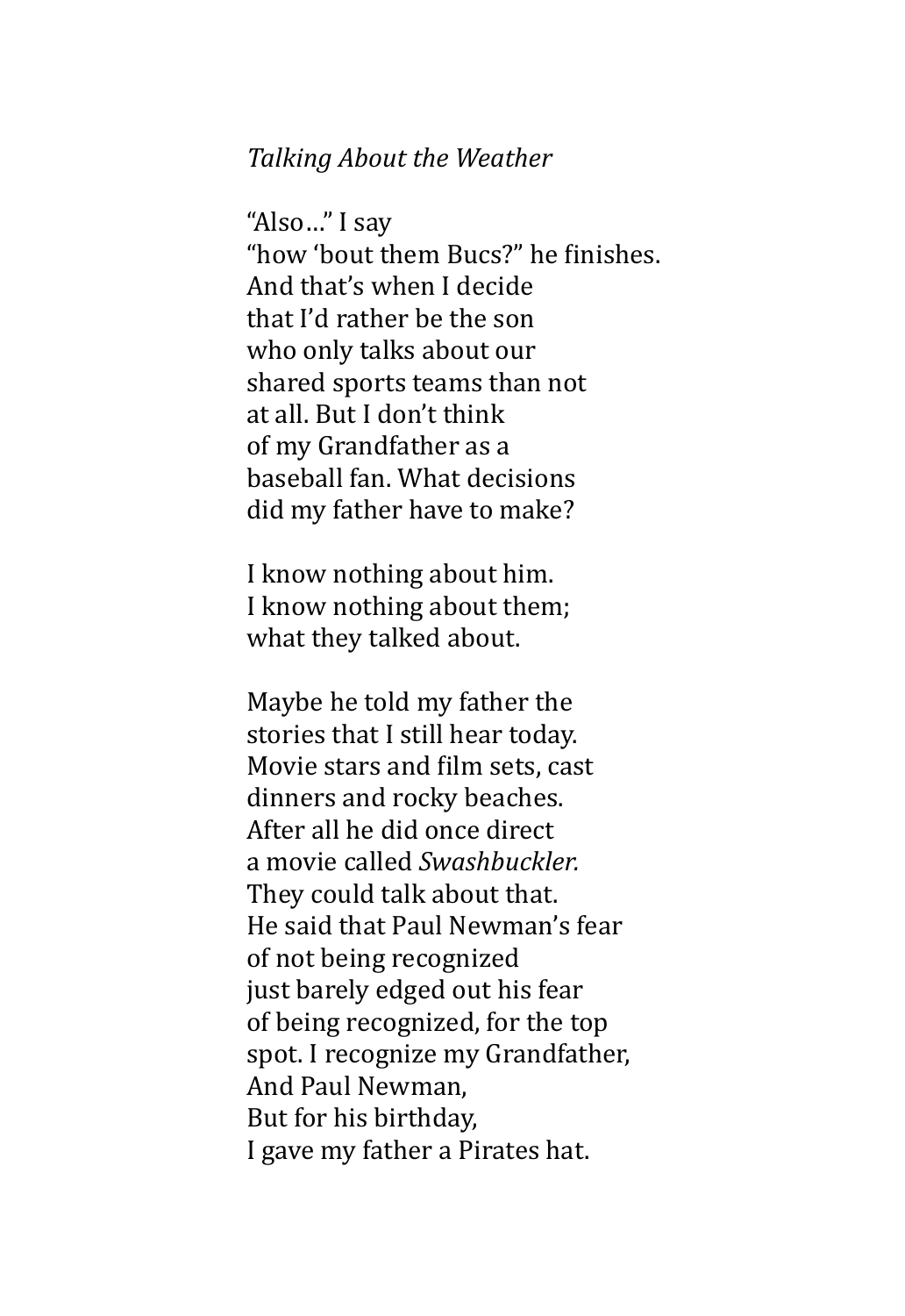### *Talking About the Weather*

"Also…" I say "how 'bout them Bucs?" he finishes. And that's when I decide that I'd rather be the son who only talks about our shared sports teams than not at all. But I don't think of my Grandfather as a baseball fan. What decisions did my father have to make?

I know nothing about him. I know nothing about them; what they talked about.

Maybe he told my father the stories that I still hear today. Movie stars and film sets, cast dinners and rocky beaches. After all he did once direct a movie called *Swashbuckler.*  They could talk about that. He said that Paul Newman's fear of not being recognized just barely edged out his fear of being recognized, for the top spot. I recognize my Grandfather, And Paul Newman, But for his birthday, I gave my father a Pirates hat.